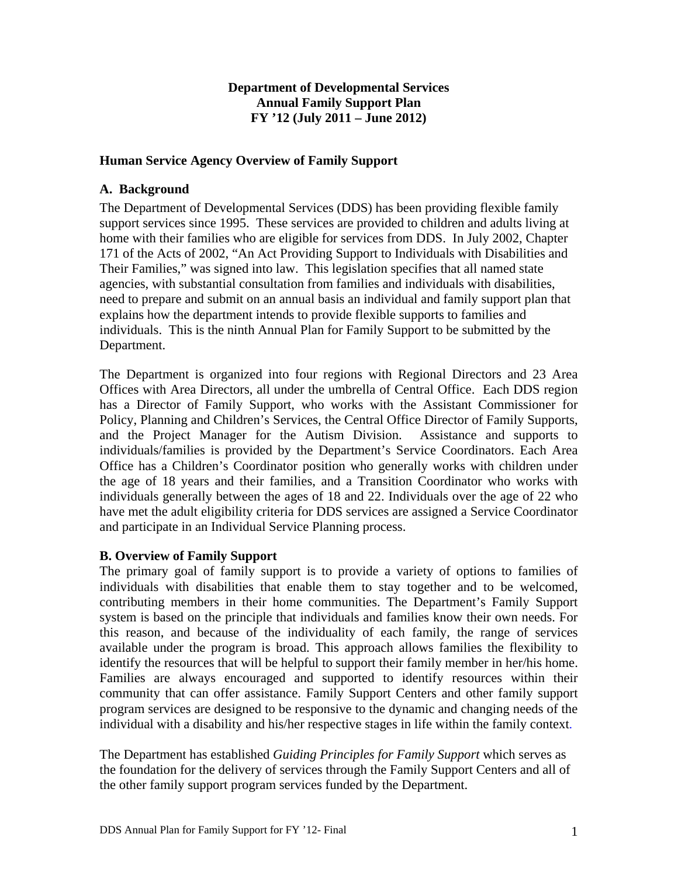# **Department of Developmental Services Annual Family Support Plan FY '12 (July 2011 – June 2012)**

# **Human Service Agency Overview of Family Support**

### **A. Background**

The Department of Developmental Services (DDS) has been providing flexible family support services since 1995. These services are provided to children and adults living at home with their families who are eligible for services from DDS. In July 2002, Chapter 171 of the Acts of 2002, "An Act Providing Support to Individuals with Disabilities and Their Families," was signed into law. This legislation specifies that all named state agencies, with substantial consultation from families and individuals with disabilities, need to prepare and submit on an annual basis an individual and family support plan that explains how the department intends to provide flexible supports to families and individuals. This is the ninth Annual Plan for Family Support to be submitted by the Department.

The Department is organized into four regions with Regional Directors and 23 Area Offices with Area Directors, all under the umbrella of Central Office. Each DDS region has a Director of Family Support, who works with the Assistant Commissioner for Policy, Planning and Children's Services, the Central Office Director of Family Supports, and the Project Manager for the Autism Division. Assistance and supports to individuals/families is provided by the Department's Service Coordinators. Each Area Office has a Children's Coordinator position who generally works with children under the age of 18 years and their families, and a Transition Coordinator who works with individuals generally between the ages of 18 and 22. Individuals over the age of 22 who have met the adult eligibility criteria for DDS services are assigned a Service Coordinator and participate in an Individual Service Planning process.

# **B. Overview of Family Support**

The primary goal of family support is to provide a variety of options to families of individuals with disabilities that enable them to stay together and to be welcomed, contributing members in their home communities. The Department's Family Support system is based on the principle that individuals and families know their own needs. For this reason, and because of the individuality of each family, the range of services available under the program is broad. This approach allows families the flexibility to identify the resources that will be helpful to support their family member in her/his home. Families are always encouraged and supported to identify resources within their community that can offer assistance. Family Support Centers and other family support program services are designed to be responsive to the dynamic and changing needs of the individual with a disability and his/her respective stages in life within the family context.

The Department has established *Guiding Principles for Family Support* which serves as the foundation for the delivery of services through the Family Support Centers and all of the other family support program services funded by the Department.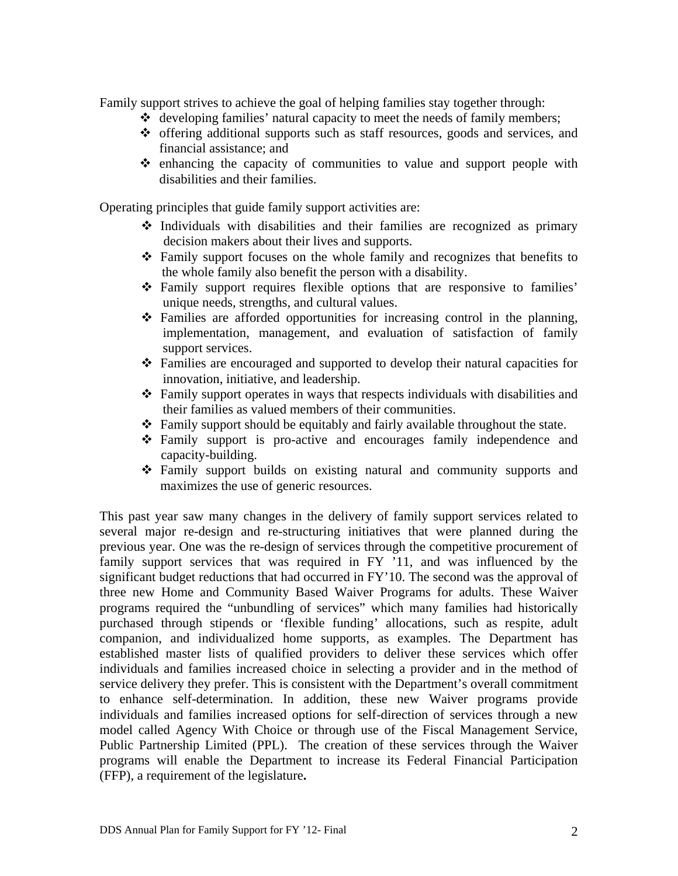Family support strives to achieve the goal of helping families stay together through:

- $\triangleleft$  developing families' natural capacity to meet the needs of family members;
- offering additional supports such as staff resources, goods and services, and financial assistance; and
- $\Leftrightarrow$  enhancing the capacity of communities to value and support people with disabilities and their families.

Operating principles that guide family support activities are:

- $\cdot$  Individuals with disabilities and their families are recognized as primary decision makers about their lives and supports.
- Family support focuses on the whole family and recognizes that benefits to the whole family also benefit the person with a disability.
- Family support requires flexible options that are responsive to families' unique needs, strengths, and cultural values.
- $\hat{\mathbf{v}}$  Families are afforded opportunities for increasing control in the planning, implementation, management, and evaluation of satisfaction of family support services.
- Families are encouraged and supported to develop their natural capacities for innovation, initiative, and leadership.
- Family support operates in ways that respects individuals with disabilities and their families as valued members of their communities.
- Family support should be equitably and fairly available throughout the state.
- Family support is pro-active and encourages family independence and capacity-building.
- Family support builds on existing natural and community supports and maximizes the use of generic resources.

This past year saw many changes in the delivery of family support services related to several major re-design and re-structuring initiatives that were planned during the previous year. One was the re-design of services through the competitive procurement of family support services that was required in FY '11, and was influenced by the significant budget reductions that had occurred in FY'10. The second was the approval of three new Home and Community Based Waiver Programs for adults. These Waiver programs required the "unbundling of services" which many families had historically purchased through stipends or 'flexible funding' allocations, such as respite, adult companion, and individualized home supports, as examples. The Department has established master lists of qualified providers to deliver these services which offer individuals and families increased choice in selecting a provider and in the method of service delivery they prefer. This is consistent with the Department's overall commitment to enhance self-determination. In addition, these new Waiver programs provide individuals and families increased options for self-direction of services through a new model called Agency With Choice or through use of the Fiscal Management Service, Public Partnership Limited (PPL). The creation of these services through the Waiver programs will enable the Department to increase its Federal Financial Participation (FFP), a requirement of the legislature**.**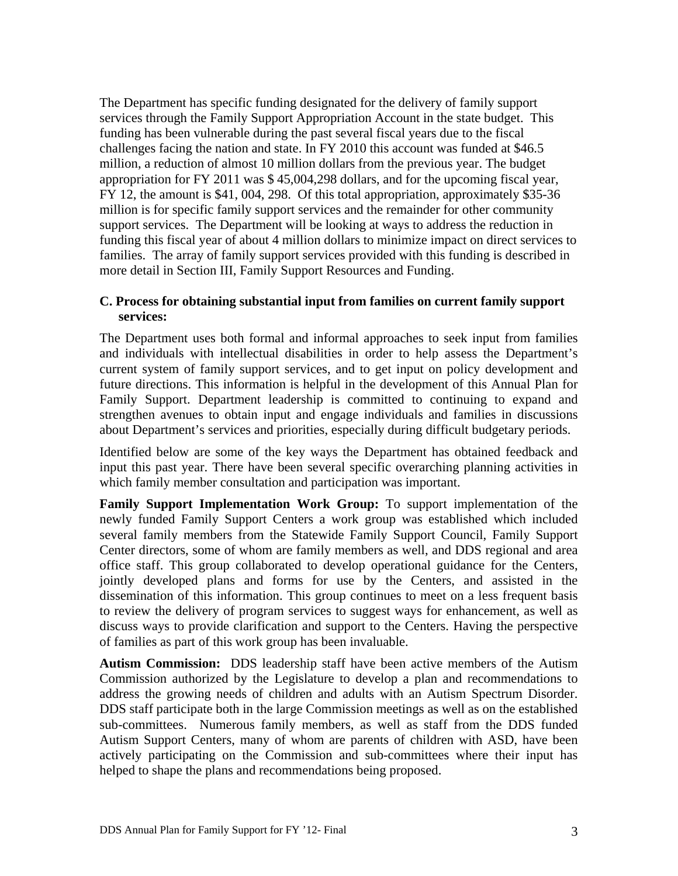The Department has specific funding designated for the delivery of family support services through the Family Support Appropriation Account in the state budget. This funding has been vulnerable during the past several fiscal years due to the fiscal challenges facing the nation and state. In FY 2010 this account was funded at \$46.5 million, a reduction of almost 10 million dollars from the previous year. The budget appropriation for FY 2011 was \$ 45,004,298 dollars, and for the upcoming fiscal year, FY 12, the amount is \$41, 004, 298. Of this total appropriation, approximately \$35-36 million is for specific family support services and the remainder for other community support services. The Department will be looking at ways to address the reduction in funding this fiscal year of about 4 million dollars to minimize impact on direct services to families. The array of family support services provided with this funding is described in more detail in Section III, Family Support Resources and Funding.

# **C. Process for obtaining substantial input from families on current family support services:**

The Department uses both formal and informal approaches to seek input from families and individuals with intellectual disabilities in order to help assess the Department's current system of family support services, and to get input on policy development and future directions. This information is helpful in the development of this Annual Plan for Family Support. Department leadership is committed to continuing to expand and strengthen avenues to obtain input and engage individuals and families in discussions about Department's services and priorities, especially during difficult budgetary periods.

Identified below are some of the key ways the Department has obtained feedback and input this past year. There have been several specific overarching planning activities in which family member consultation and participation was important.

**Family Support Implementation Work Group:** To support implementation of the newly funded Family Support Centers a work group was established which included several family members from the Statewide Family Support Council, Family Support Center directors, some of whom are family members as well, and DDS regional and area office staff. This group collaborated to develop operational guidance for the Centers, jointly developed plans and forms for use by the Centers, and assisted in the dissemination of this information. This group continues to meet on a less frequent basis to review the delivery of program services to suggest ways for enhancement, as well as discuss ways to provide clarification and support to the Centers. Having the perspective of families as part of this work group has been invaluable.

**Autism Commission:** DDS leadership staff have been active members of the Autism Commission authorized by the Legislature to develop a plan and recommendations to address the growing needs of children and adults with an Autism Spectrum Disorder. DDS staff participate both in the large Commission meetings as well as on the established sub-committees. Numerous family members, as well as staff from the DDS funded Autism Support Centers, many of whom are parents of children with ASD, have been actively participating on the Commission and sub-committees where their input has helped to shape the plans and recommendations being proposed.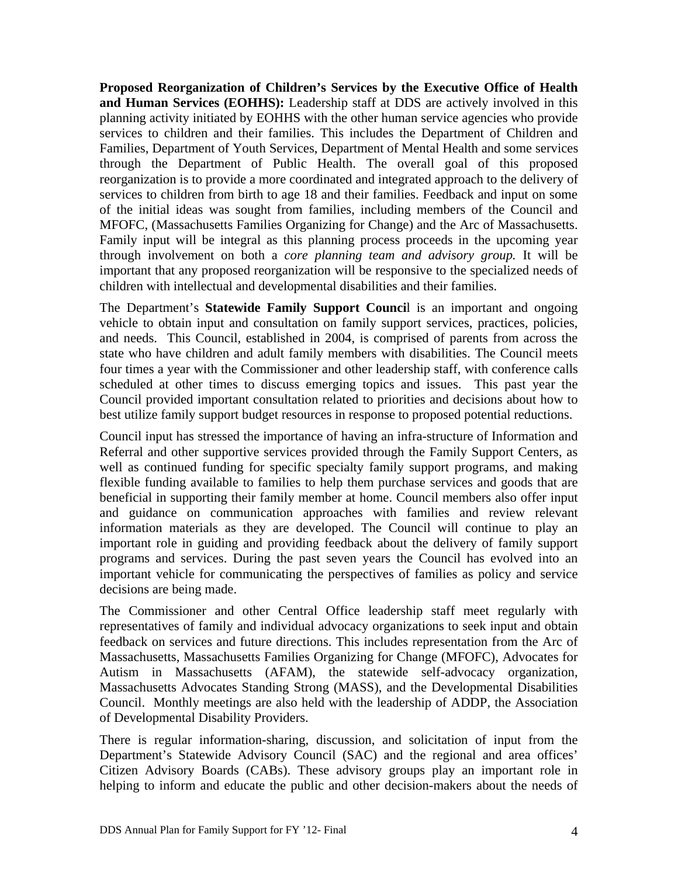**Proposed Reorganization of Children's Services by the Executive Office of Health and Human Services (EOHHS):** Leadership staff at DDS are actively involved in this planning activity initiated by EOHHS with the other human service agencies who provide services to children and their families. This includes the Department of Children and Families, Department of Youth Services, Department of Mental Health and some services through the Department of Public Health. The overall goal of this proposed reorganization is to provide a more coordinated and integrated approach to the delivery of services to children from birth to age 18 and their families. Feedback and input on some of the initial ideas was sought from families, including members of the Council and MFOFC, (Massachusetts Families Organizing for Change) and the Arc of Massachusetts. Family input will be integral as this planning process proceeds in the upcoming year through involvement on both a *core planning team and advisory group.* It will be important that any proposed reorganization will be responsive to the specialized needs of children with intellectual and developmental disabilities and their families.

The Department's **Statewide Family Support Counci**l is an important and ongoing vehicle to obtain input and consultation on family support services, practices, policies, and needs. This Council, established in 2004, is comprised of parents from across the state who have children and adult family members with disabilities. The Council meets four times a year with the Commissioner and other leadership staff, with conference calls scheduled at other times to discuss emerging topics and issues. This past year the Council provided important consultation related to priorities and decisions about how to best utilize family support budget resources in response to proposed potential reductions.

Council input has stressed the importance of having an infra-structure of Information and Referral and other supportive services provided through the Family Support Centers, as well as continued funding for specific specialty family support programs, and making flexible funding available to families to help them purchase services and goods that are beneficial in supporting their family member at home. Council members also offer input and guidance on communication approaches with families and review relevant information materials as they are developed. The Council will continue to play an important role in guiding and providing feedback about the delivery of family support programs and services. During the past seven years the Council has evolved into an important vehicle for communicating the perspectives of families as policy and service decisions are being made.

The Commissioner and other Central Office leadership staff meet regularly with representatives of family and individual advocacy organizations to seek input and obtain feedback on services and future directions. This includes representation from the Arc of Massachusetts, Massachusetts Families Organizing for Change (MFOFC), Advocates for Autism in Massachusetts (AFAM), the statewide self-advocacy organization, Massachusetts Advocates Standing Strong (MASS), and the Developmental Disabilities Council. Monthly meetings are also held with the leadership of ADDP, the Association of Developmental Disability Providers.

There is regular information-sharing, discussion, and solicitation of input from the Department's Statewide Advisory Council (SAC) and the regional and area offices' Citizen Advisory Boards (CABs). These advisory groups play an important role in helping to inform and educate the public and other decision-makers about the needs of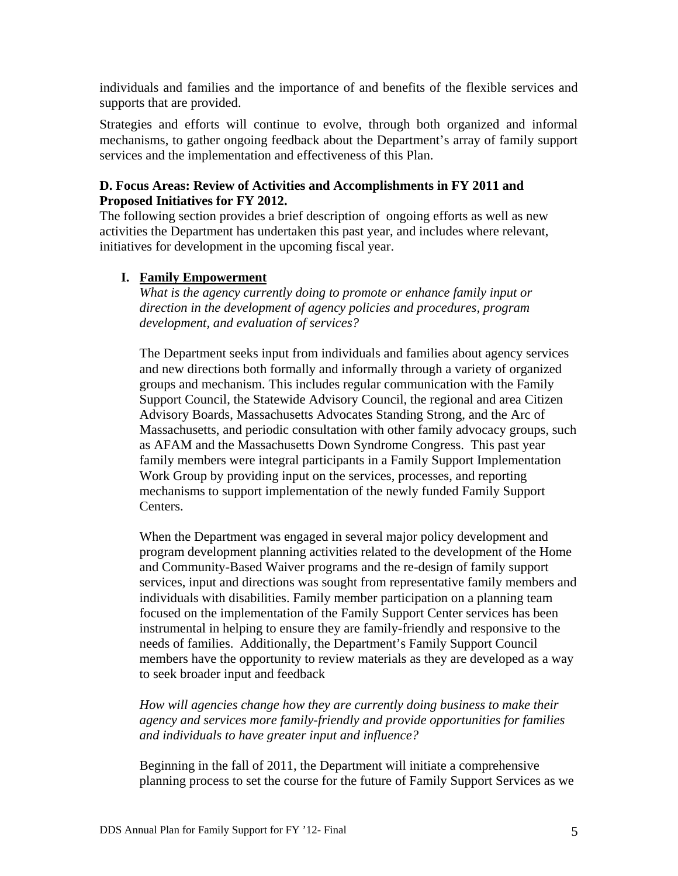individuals and families and the importance of and benefits of the flexible services and supports that are provided.

Strategies and efforts will continue to evolve, through both organized and informal mechanisms, to gather ongoing feedback about the Department's array of family support services and the implementation and effectiveness of this Plan.

# **D. Focus Areas: Review of Activities and Accomplishments in FY 2011 and Proposed Initiatives for FY 2012.**

The following section provides a brief description of ongoing efforts as well as new activities the Department has undertaken this past year, and includes where relevant, initiatives for development in the upcoming fiscal year.

# **I. Family Empowerment**

*What is the agency currently doing to promote or enhance family input or direction in the development of agency policies and procedures, program development, and evaluation of services?* 

The Department seeks input from individuals and families about agency services and new directions both formally and informally through a variety of organized groups and mechanism. This includes regular communication with the Family Support Council, the Statewide Advisory Council, the regional and area Citizen Advisory Boards, Massachusetts Advocates Standing Strong, and the Arc of Massachusetts, and periodic consultation with other family advocacy groups, such as AFAM and the Massachusetts Down Syndrome Congress. This past year family members were integral participants in a Family Support Implementation Work Group by providing input on the services, processes, and reporting mechanisms to support implementation of the newly funded Family Support Centers.

When the Department was engaged in several major policy development and program development planning activities related to the development of the Home and Community-Based Waiver programs and the re-design of family support services, input and directions was sought from representative family members and individuals with disabilities. Family member participation on a planning team focused on the implementation of the Family Support Center services has been instrumental in helping to ensure they are family-friendly and responsive to the needs of families. Additionally, the Department's Family Support Council members have the opportunity to review materials as they are developed as a way to seek broader input and feedback

*How will agencies change how they are currently doing business to make their agency and services more family-friendly and provide opportunities for families and individuals to have greater input and influence?* 

Beginning in the fall of 2011, the Department will initiate a comprehensive planning process to set the course for the future of Family Support Services as we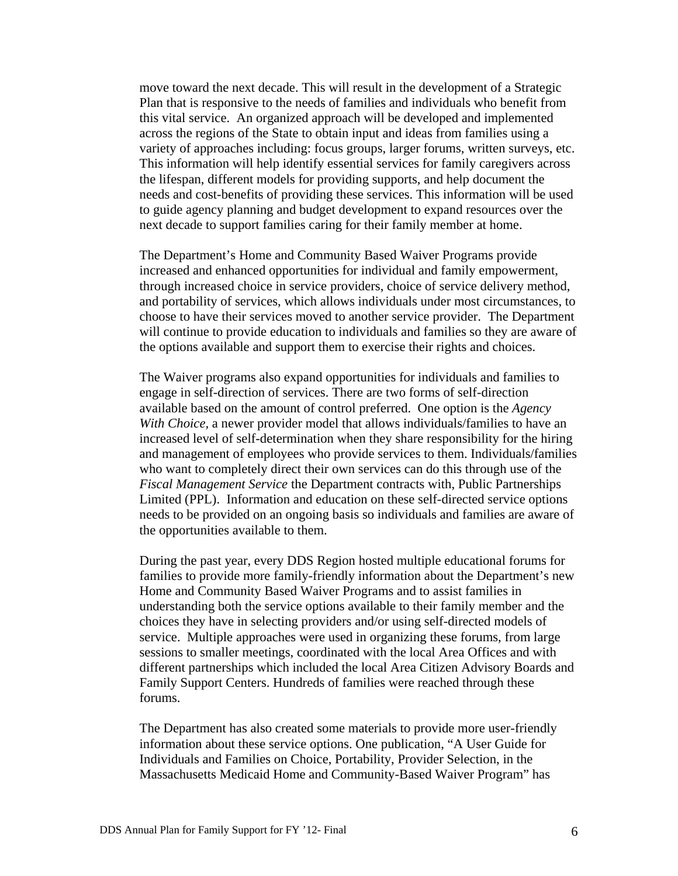move toward the next decade. This will result in the development of a Strategic Plan that is responsive to the needs of families and individuals who benefit from this vital service. An organized approach will be developed and implemented across the regions of the State to obtain input and ideas from families using a variety of approaches including: focus groups, larger forums, written surveys, etc. This information will help identify essential services for family caregivers across the lifespan, different models for providing supports, and help document the needs and cost-benefits of providing these services. This information will be used to guide agency planning and budget development to expand resources over the next decade to support families caring for their family member at home.

The Department's Home and Community Based Waiver Programs provide increased and enhanced opportunities for individual and family empowerment, through increased choice in service providers, choice of service delivery method, and portability of services, which allows individuals under most circumstances, to choose to have their services moved to another service provider. The Department will continue to provide education to individuals and families so they are aware of the options available and support them to exercise their rights and choices.

The Waiver programs also expand opportunities for individuals and families to engage in self-direction of services. There are two forms of self-direction available based on the amount of control preferred. One option is the *Agency With Choice,* a newer provider model that allows individuals/families to have an increased level of self-determination when they share responsibility for the hiring and management of employees who provide services to them. Individuals/families who want to completely direct their own services can do this through use of the *Fiscal Management Service* the Department contracts with, Public Partnerships Limited (PPL). Information and education on these self-directed service options needs to be provided on an ongoing basis so individuals and families are aware of the opportunities available to them.

During the past year, every DDS Region hosted multiple educational forums for families to provide more family-friendly information about the Department's new Home and Community Based Waiver Programs and to assist families in understanding both the service options available to their family member and the choices they have in selecting providers and/or using self-directed models of service. Multiple approaches were used in organizing these forums, from large sessions to smaller meetings, coordinated with the local Area Offices and with different partnerships which included the local Area Citizen Advisory Boards and Family Support Centers. Hundreds of families were reached through these forums.

The Department has also created some materials to provide more user-friendly information about these service options. One publication, "A User Guide for Individuals and Families on Choice, Portability, Provider Selection, in the Massachusetts Medicaid Home and Community-Based Waiver Program" has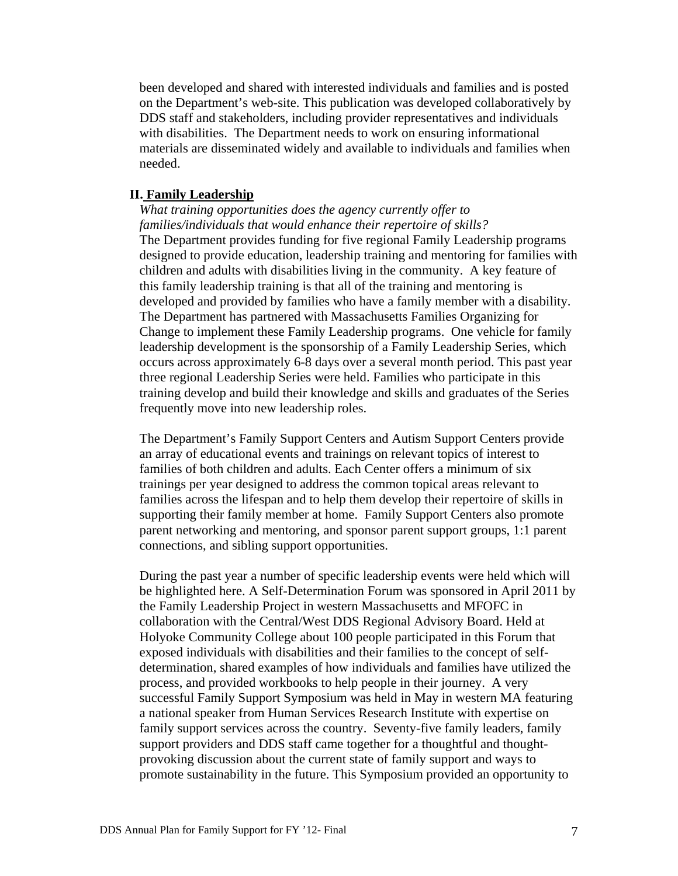been developed and shared with interested individuals and families and is posted on the Department's web-site. This publication was developed collaboratively by DDS staff and stakeholders, including provider representatives and individuals with disabilities. The Department needs to work on ensuring informational materials are disseminated widely and available to individuals and families when needed.

### **II. Family Leadership**

*What training opportunities does the agency currently offer to families/individuals that would enhance their repertoire of skills?*  The Department provides funding for five regional Family Leadership programs designed to provide education, leadership training and mentoring for families with children and adults with disabilities living in the community. A key feature of this family leadership training is that all of the training and mentoring is developed and provided by families who have a family member with a disability. The Department has partnered with Massachusetts Families Organizing for Change to implement these Family Leadership programs. One vehicle for family leadership development is the sponsorship of a Family Leadership Series, which occurs across approximately 6-8 days over a several month period. This past year three regional Leadership Series were held. Families who participate in this training develop and build their knowledge and skills and graduates of the Series frequently move into new leadership roles.

The Department's Family Support Centers and Autism Support Centers provide an array of educational events and trainings on relevant topics of interest to families of both children and adults. Each Center offers a minimum of six trainings per year designed to address the common topical areas relevant to families across the lifespan and to help them develop their repertoire of skills in supporting their family member at home. Family Support Centers also promote parent networking and mentoring, and sponsor parent support groups, 1:1 parent connections, and sibling support opportunities.

During the past year a number of specific leadership events were held which will be highlighted here. A Self-Determination Forum was sponsored in April 2011 by the Family Leadership Project in western Massachusetts and MFOFC in collaboration with the Central/West DDS Regional Advisory Board. Held at Holyoke Community College about 100 people participated in this Forum that exposed individuals with disabilities and their families to the concept of selfdetermination, shared examples of how individuals and families have utilized the process, and provided workbooks to help people in their journey. A very successful Family Support Symposium was held in May in western MA featuring a national speaker from Human Services Research Institute with expertise on family support services across the country. Seventy-five family leaders, family support providers and DDS staff came together for a thoughtful and thoughtprovoking discussion about the current state of family support and ways to promote sustainability in the future. This Symposium provided an opportunity to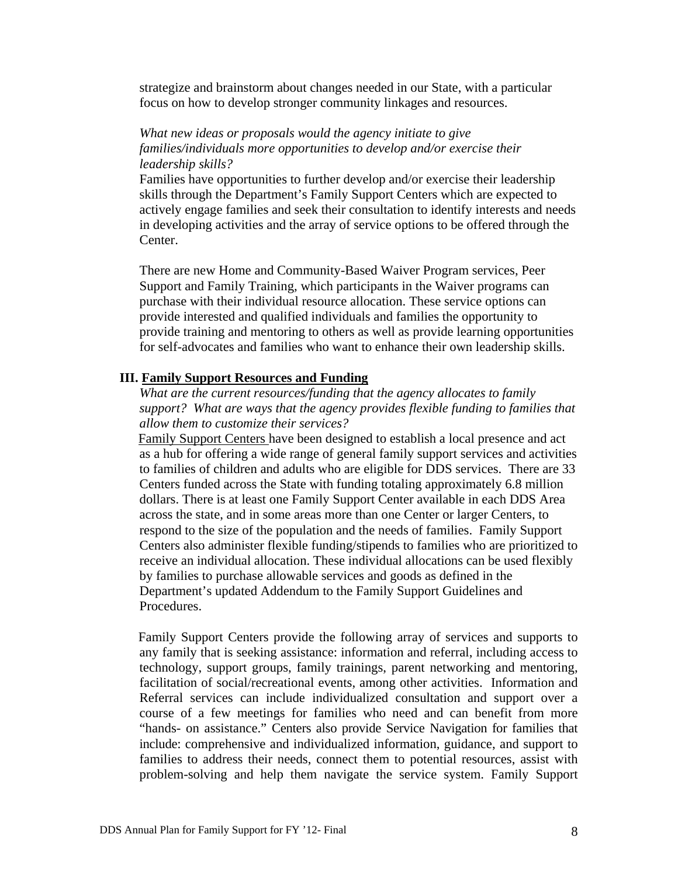strategize and brainstorm about changes needed in our State, with a particular focus on how to develop stronger community linkages and resources.

### *What new ideas or proposals would the agency initiate to give families/individuals more opportunities to develop and/or exercise their leadership skills?*

Families have opportunities to further develop and/or exercise their leadership skills through the Department's Family Support Centers which are expected to actively engage families and seek their consultation to identify interests and needs in developing activities and the array of service options to be offered through the Center.

There are new Home and Community-Based Waiver Program services, Peer Support and Family Training, which participants in the Waiver programs can purchase with their individual resource allocation. These service options can provide interested and qualified individuals and families the opportunity to provide training and mentoring to others as well as provide learning opportunities for self-advocates and families who want to enhance their own leadership skills.

### **III. Family Support Resources and Funding**

*What are the current resources/funding that the agency allocates to family support? What are ways that the agency provides flexible funding to families that allow them to customize their services?* 

Family Support Centers have been designed to establish a local presence and act as a hub for offering a wide range of general family support services and activities to families of children and adults who are eligible for DDS services. There are 33 Centers funded across the State with funding totaling approximately 6.8 million dollars. There is at least one Family Support Center available in each DDS Area across the state, and in some areas more than one Center or larger Centers, to respond to the size of the population and the needs of families. Family Support Centers also administer flexible funding/stipends to families who are prioritized to receive an individual allocation. These individual allocations can be used flexibly by families to purchase allowable services and goods as defined in the Department's updated Addendum to the Family Support Guidelines and Procedures.

Family Support Centers provide the following array of services and supports to any family that is seeking assistance: information and referral, including access to technology, support groups, family trainings, parent networking and mentoring, facilitation of social/recreational events, among other activities. Information and Referral services can include individualized consultation and support over a course of a few meetings for families who need and can benefit from more "hands- on assistance." Centers also provide Service Navigation for families that include: comprehensive and individualized information, guidance, and support to families to address their needs, connect them to potential resources, assist with problem-solving and help them navigate the service system. Family Support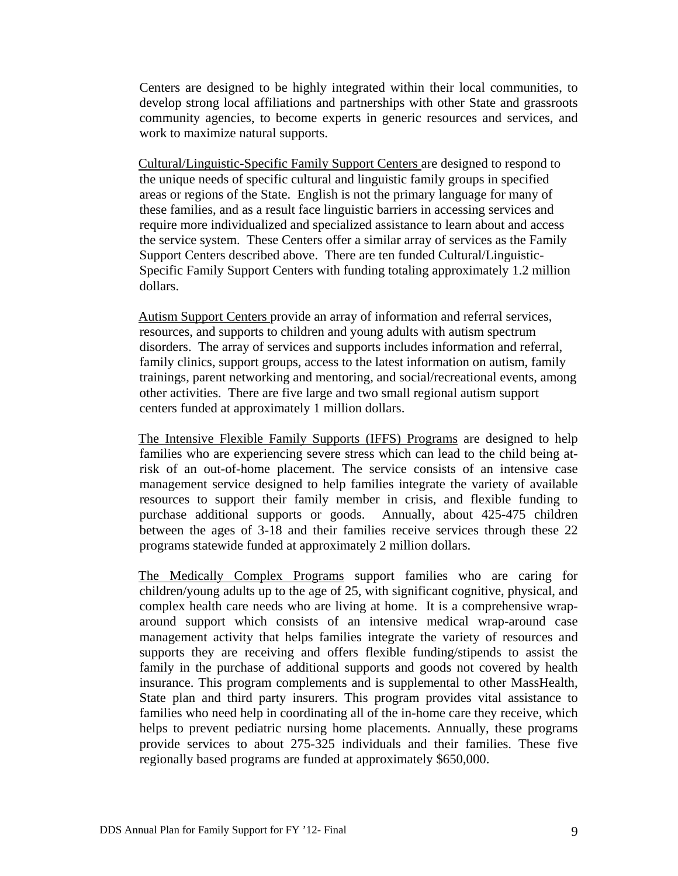Centers are designed to be highly integrated within their local communities, to develop strong local affiliations and partnerships with other State and grassroots community agencies, to become experts in generic resources and services, and work to maximize natural supports.

Cultural/Linguistic-Specific Family Support Centers are designed to respond to the unique needs of specific cultural and linguistic family groups in specified areas or regions of the State. English is not the primary language for many of these families, and as a result face linguistic barriers in accessing services and require more individualized and specialized assistance to learn about and access the service system. These Centers offer a similar array of services as the Family Support Centers described above. There are ten funded Cultural/Linguistic-Specific Family Support Centers with funding totaling approximately 1.2 million dollars.

Autism Support Centers provide an array of information and referral services, resources, and supports to children and young adults with autism spectrum disorders. The array of services and supports includes information and referral, family clinics, support groups, access to the latest information on autism, family trainings, parent networking and mentoring, and social/recreational events, among other activities. There are five large and two small regional autism support centers funded at approximately 1 million dollars.

The Intensive Flexible Family Supports (IFFS) Programs are designed to help families who are experiencing severe stress which can lead to the child being atrisk of an out-of-home placement. The service consists of an intensive case management service designed to help families integrate the variety of available resources to support their family member in crisis, and flexible funding to purchase additional supports or goods. Annually, about 425-475 children between the ages of 3-18 and their families receive services through these 22 programs statewide funded at approximately 2 million dollars.

The Medically Complex Programs support families who are caring for children/young adults up to the age of 25, with significant cognitive, physical, and complex health care needs who are living at home. It is a comprehensive wraparound support which consists of an intensive medical wrap-around case management activity that helps families integrate the variety of resources and supports they are receiving and offers flexible funding/stipends to assist the family in the purchase of additional supports and goods not covered by health insurance. This program complements and is supplemental to other MassHealth, State plan and third party insurers. This program provides vital assistance to families who need help in coordinating all of the in-home care they receive, which helps to prevent pediatric nursing home placements. Annually, these programs provide services to about 275-325 individuals and their families. These five regionally based programs are funded at approximately \$650,000.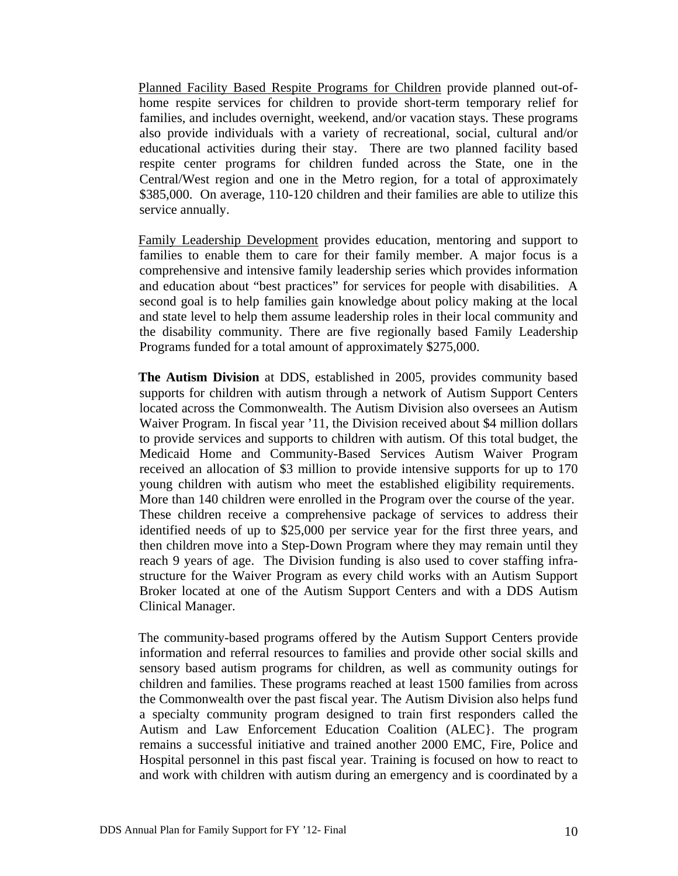Planned Facility Based Respite Programs for Children provide planned out-ofhome respite services for children to provide short-term temporary relief for families, and includes overnight, weekend, and/or vacation stays. These programs also provide individuals with a variety of recreational, social, cultural and/or educational activities during their stay. There are two planned facility based respite center programs for children funded across the State, one in the Central/West region and one in the Metro region, for a total of approximately \$385,000. On average, 110-120 children and their families are able to utilize this service annually.

Family Leadership Development provides education, mentoring and support to families to enable them to care for their family member. A major focus is a comprehensive and intensive family leadership series which provides information and education about "best practices" for services for people with disabilities. A second goal is to help families gain knowledge about policy making at the local and state level to help them assume leadership roles in their local community and the disability community. There are five regionally based Family Leadership Programs funded for a total amount of approximately \$275,000.

**The Autism Division** at DDS, established in 2005, provides community based supports for children with autism through a network of Autism Support Centers located across the Commonwealth. The Autism Division also oversees an Autism Waiver Program. In fiscal year '11, the Division received about \$4 million dollars to provide services and supports to children with autism. Of this total budget, the Medicaid Home and Community-Based Services Autism Waiver Program received an allocation of \$3 million to provide intensive supports for up to 170 young children with autism who meet the established eligibility requirements. More than 140 children were enrolled in the Program over the course of the year. These children receive a comprehensive package of services to address their identified needs of up to \$25,000 per service year for the first three years, and then children move into a Step-Down Program where they may remain until they reach 9 years of age. The Division funding is also used to cover staffing infrastructure for the Waiver Program as every child works with an Autism Support Broker located at one of the Autism Support Centers and with a DDS Autism Clinical Manager.

The community-based programs offered by the Autism Support Centers provide information and referral resources to families and provide other social skills and sensory based autism programs for children, as well as community outings for children and families. These programs reached at least 1500 families from across the Commonwealth over the past fiscal year. The Autism Division also helps fund a specialty community program designed to train first responders called the Autism and Law Enforcement Education Coalition (ALEC}. The program remains a successful initiative and trained another 2000 EMC, Fire, Police and Hospital personnel in this past fiscal year. Training is focused on how to react to and work with children with autism during an emergency and is coordinated by a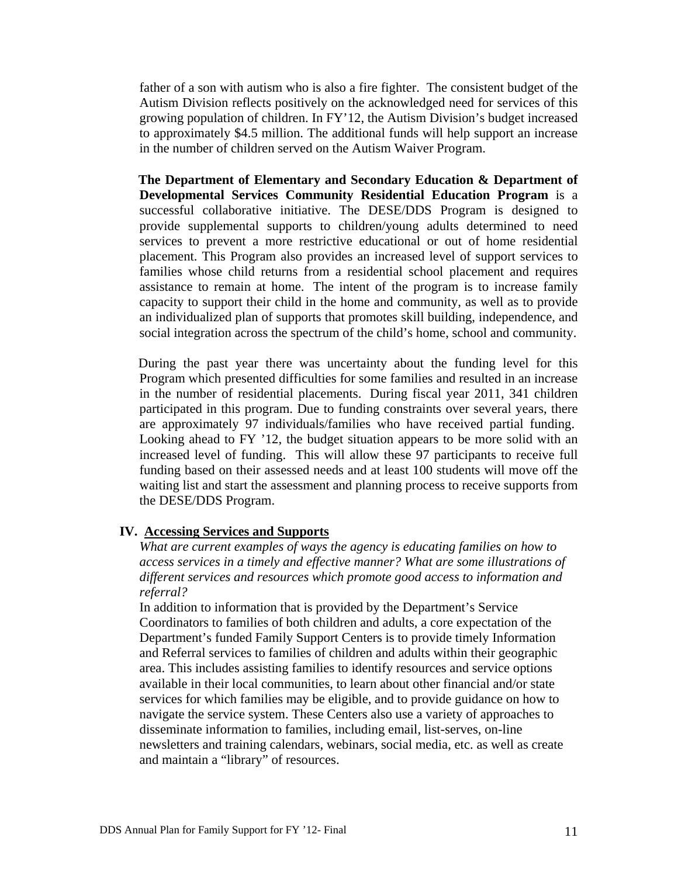father of a son with autism who is also a fire fighter. The consistent budget of the Autism Division reflects positively on the acknowledged need for services of this growing population of children. In FY'12, the Autism Division's budget increased to approximately \$4.5 million. The additional funds will help support an increase in the number of children served on the Autism Waiver Program.

**The Department of Elementary and Secondary Education & Department of Developmental Services Community Residential Education Program** is a successful collaborative initiative. The DESE/DDS Program is designed to provide supplemental supports to children/young adults determined to need services to prevent a more restrictive educational or out of home residential placement. This Program also provides an increased level of support services to families whose child returns from a residential school placement and requires assistance to remain at home. The intent of the program is to increase family capacity to support their child in the home and community, as well as to provide an individualized plan of supports that promotes skill building, independence, and social integration across the spectrum of the child's home, school and community.

During the past year there was uncertainty about the funding level for this Program which presented difficulties for some families and resulted in an increase in the number of residential placements. During fiscal year 2011, 341 children participated in this program. Due to funding constraints over several years, there are approximately 97 individuals/families who have received partial funding. Looking ahead to FY '12, the budget situation appears to be more solid with an increased level of funding. This will allow these 97 participants to receive full funding based on their assessed needs and at least 100 students will move off the waiting list and start the assessment and planning process to receive supports from the DESE/DDS Program.

#### **IV. Accessing Services and Supports**

*What are current examples of ways the agency is educating families on how to access services in a timely and effective manner? What are some illustrations of different services and resources which promote good access to information and referral?* 

In addition to information that is provided by the Department's Service Coordinators to families of both children and adults, a core expectation of the Department's funded Family Support Centers is to provide timely Information and Referral services to families of children and adults within their geographic area. This includes assisting families to identify resources and service options available in their local communities, to learn about other financial and/or state services for which families may be eligible, and to provide guidance on how to navigate the service system. These Centers also use a variety of approaches to disseminate information to families, including email, list-serves, on-line newsletters and training calendars, webinars, social media, etc. as well as create and maintain a "library" of resources.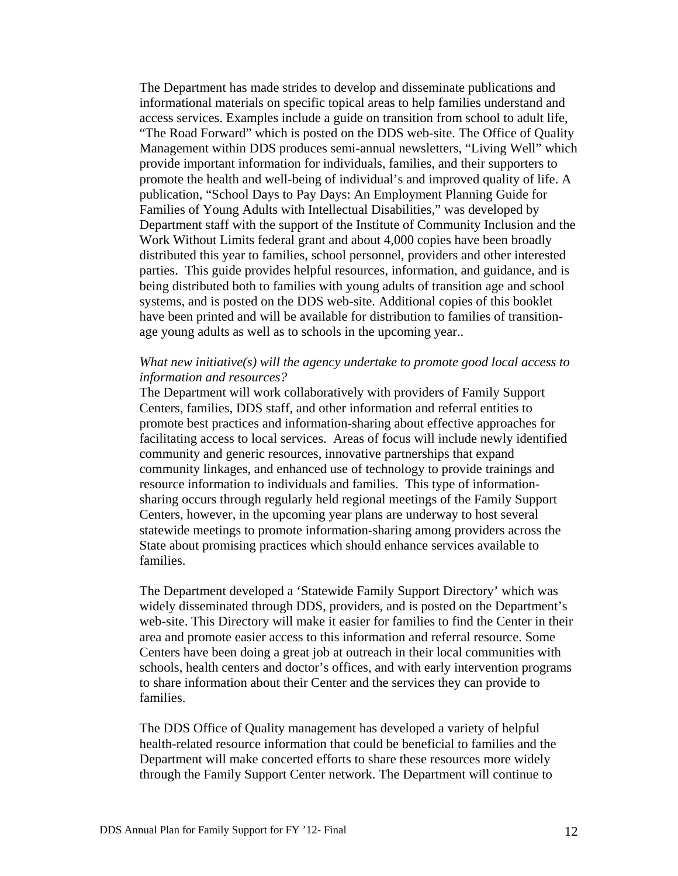The Department has made strides to develop and disseminate publications and informational materials on specific topical areas to help families understand and access services. Examples include a guide on transition from school to adult life, "The Road Forward" which is posted on the DDS web-site. The Office of Quality Management within DDS produces semi-annual newsletters, "Living Well" which provide important information for individuals, families, and their supporters to promote the health and well-being of individual's and improved quality of life. A publication, "School Days to Pay Days: An Employment Planning Guide for Families of Young Adults with Intellectual Disabilities," was developed by Department staff with the support of the Institute of Community Inclusion and the Work Without Limits federal grant and about 4,000 copies have been broadly distributed this year to families, school personnel, providers and other interested parties. This guide provides helpful resources, information, and guidance, and is being distributed both to families with young adults of transition age and school systems, and is posted on the DDS web-site. Additional copies of this booklet have been printed and will be available for distribution to families of transitionage young adults as well as to schools in the upcoming year..

### *What new initiative(s) will the agency undertake to promote good local access to information and resources?*

The Department will work collaboratively with providers of Family Support Centers, families, DDS staff, and other information and referral entities to promote best practices and information-sharing about effective approaches for facilitating access to local services. Areas of focus will include newly identified community and generic resources, innovative partnerships that expand community linkages, and enhanced use of technology to provide trainings and resource information to individuals and families. This type of informationsharing occurs through regularly held regional meetings of the Family Support Centers, however, in the upcoming year plans are underway to host several statewide meetings to promote information-sharing among providers across the State about promising practices which should enhance services available to families.

The Department developed a 'Statewide Family Support Directory' which was widely disseminated through DDS, providers, and is posted on the Department's web-site. This Directory will make it easier for families to find the Center in their area and promote easier access to this information and referral resource. Some Centers have been doing a great job at outreach in their local communities with schools, health centers and doctor's offices, and with early intervention programs to share information about their Center and the services they can provide to families.

The DDS Office of Quality management has developed a variety of helpful health-related resource information that could be beneficial to families and the Department will make concerted efforts to share these resources more widely through the Family Support Center network. The Department will continue to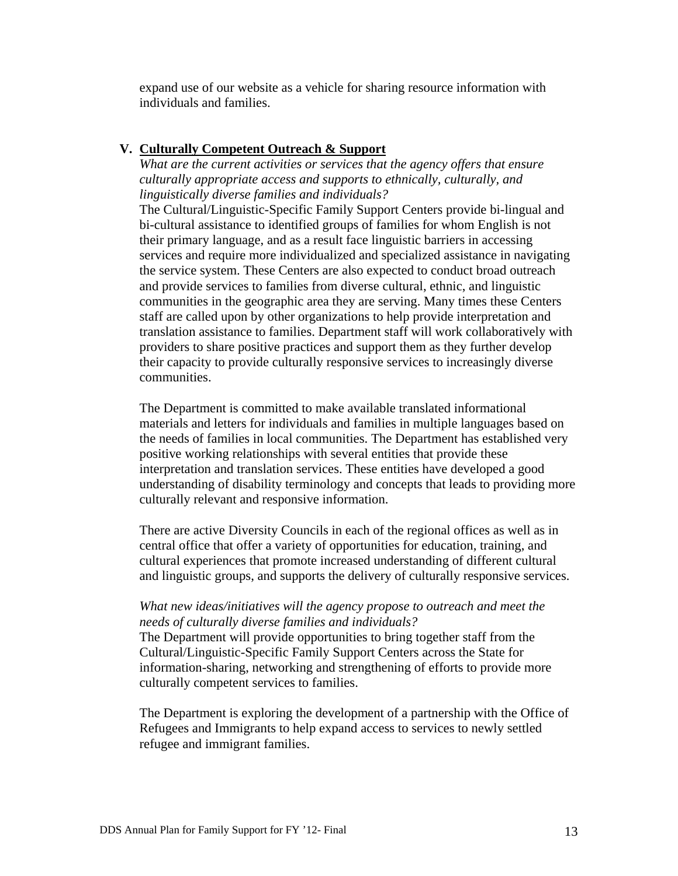expand use of our website as a vehicle for sharing resource information with individuals and families.

### **V. Culturally Competent Outreach & Support**

*What are the current activities or services that the agency offers that ensure culturally appropriate access and supports to ethnically, culturally, and linguistically diverse families and individuals?* 

The Cultural/Linguistic-Specific Family Support Centers provide bi-lingual and bi-cultural assistance to identified groups of families for whom English is not their primary language, and as a result face linguistic barriers in accessing services and require more individualized and specialized assistance in navigating the service system. These Centers are also expected to conduct broad outreach and provide services to families from diverse cultural, ethnic, and linguistic communities in the geographic area they are serving. Many times these Centers staff are called upon by other organizations to help provide interpretation and translation assistance to families. Department staff will work collaboratively with providers to share positive practices and support them as they further develop their capacity to provide culturally responsive services to increasingly diverse communities.

The Department is committed to make available translated informational materials and letters for individuals and families in multiple languages based on the needs of families in local communities. The Department has established very positive working relationships with several entities that provide these interpretation and translation services. These entities have developed a good understanding of disability terminology and concepts that leads to providing more culturally relevant and responsive information.

There are active Diversity Councils in each of the regional offices as well as in central office that offer a variety of opportunities for education, training, and cultural experiences that promote increased understanding of different cultural and linguistic groups, and supports the delivery of culturally responsive services.

### *What new ideas/initiatives will the agency propose to outreach and meet the needs of culturally diverse families and individuals?*

The Department will provide opportunities to bring together staff from the Cultural/Linguistic-Specific Family Support Centers across the State for information-sharing, networking and strengthening of efforts to provide more culturally competent services to families.

The Department is exploring the development of a partnership with the Office of Refugees and Immigrants to help expand access to services to newly settled refugee and immigrant families.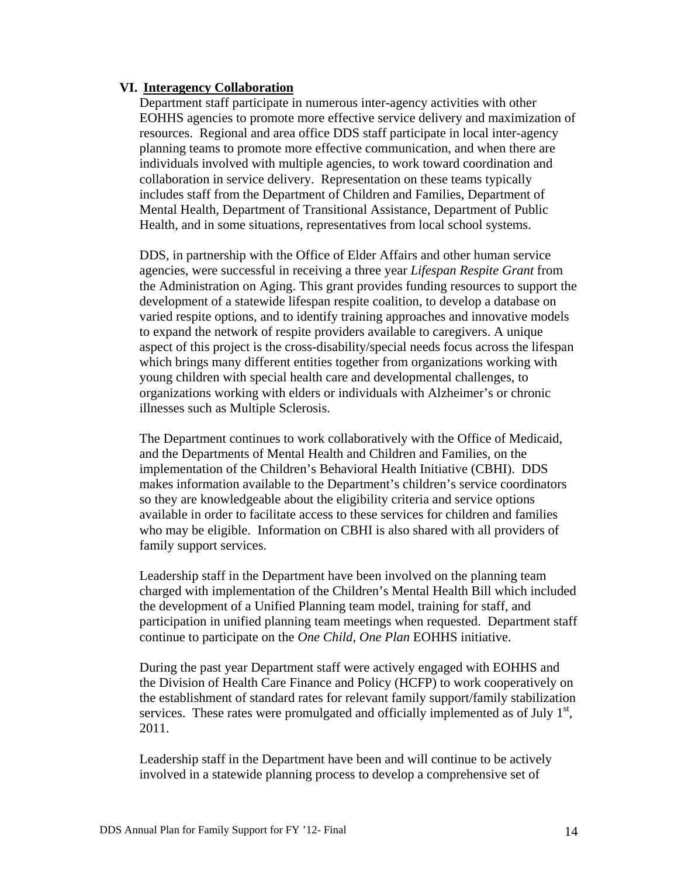### **VI. Interagency Collaboration**

Department staff participate in numerous inter-agency activities with other EOHHS agencies to promote more effective service delivery and maximization of resources. Regional and area office DDS staff participate in local inter-agency planning teams to promote more effective communication, and when there are individuals involved with multiple agencies, to work toward coordination and collaboration in service delivery. Representation on these teams typically includes staff from the Department of Children and Families, Department of Mental Health, Department of Transitional Assistance, Department of Public Health, and in some situations, representatives from local school systems.

DDS, in partnership with the Office of Elder Affairs and other human service agencies, were successful in receiving a three year *Lifespan Respite Grant* from the Administration on Aging. This grant provides funding resources to support the development of a statewide lifespan respite coalition, to develop a database on varied respite options, and to identify training approaches and innovative models to expand the network of respite providers available to caregivers. A unique aspect of this project is the cross-disability/special needs focus across the lifespan which brings many different entities together from organizations working with young children with special health care and developmental challenges, to organizations working with elders or individuals with Alzheimer's or chronic illnesses such as Multiple Sclerosis.

The Department continues to work collaboratively with the Office of Medicaid, and the Departments of Mental Health and Children and Families, on the implementation of the Children's Behavioral Health Initiative (CBHI). DDS makes information available to the Department's children's service coordinators so they are knowledgeable about the eligibility criteria and service options available in order to facilitate access to these services for children and families who may be eligible. Information on CBHI is also shared with all providers of family support services.

Leadership staff in the Department have been involved on the planning team charged with implementation of the Children's Mental Health Bill which included the development of a Unified Planning team model, training for staff, and participation in unified planning team meetings when requested. Department staff continue to participate on the *One Child, One Plan* EOHHS initiative.

During the past year Department staff were actively engaged with EOHHS and the Division of Health Care Finance and Policy (HCFP) to work cooperatively on the establishment of standard rates for relevant family support/family stabilization services. These rates were promulgated and officially implemented as of July  $1<sup>st</sup>$ , 2011.

Leadership staff in the Department have been and will continue to be actively involved in a statewide planning process to develop a comprehensive set of